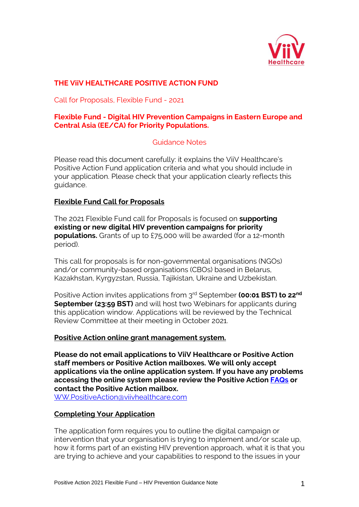

# **THE ViiV HEALTHCARE POSITIVE ACTION FUND**

Call for Proposals, Flexible Fund - 2021

### **Flexible Fund - Digital HIV Prevention Campaigns in Eastern Europe and Central Asia (EE/CA) for Priority Populations.**

## Guidance Notes

Please read this document carefully: it explains the ViiV Healthcare's Positive Action Fund application criteria and what you should include in your application. Please check that your application clearly reflects this guidance.

### **Flexible Fund Call for Proposals**

The 2021 Flexible Fund call for Proposals is focused on **supporting existing or new digital HIV prevention campaigns for priority populations.** Grants of up to £75,000 will be awarded (for a 12-month period).

This call for proposals is for non-governmental organisations (NGOs) and/or community-based organisations (CBOs) based in Belarus, Kazakhstan, Kyrgyzstan, Russia, Tajikistan, Ukraine and Uzbekistan.

Positive Action invites applications from 3<sup>rd</sup> September **(00:01 BST) to 22<sup>nd</sup> September (23:59 BST)** and will host two Webinars for applicants during this application window. Applications will be reviewed by the Technical Review Committee at their meeting in October 2021.

#### **Positive Action online grant management system.**

**Please do not email applications to ViiV Healthcare or Positive Action staff members or Positive Action mailboxes. We will only accept applications via the online application system. If you have any problems accessing the online system please review the Positive Action [FAQs](file:///C:/Users/cnk46719/GSK/Positive%20Action%20team%20-%201.%20Positive%20Action%20Strategy%202020-2030/24.%20Flexible%20Fund/Positive%20Action%20FAQs.pdf) or contact the Positive Action mailbox[.](mailto:%20WW.PositiveAction@viivhealthcare.com)**

[WW.PositiveAction@viivhealthcare.com](mailto:%20WW.PositiveAction@viivhealthcare.com) 

## **Completing Your Application**

The application form requires you to outline the digital campaign or intervention that your organisation is trying to implement and/or scale up, how it forms part of an existing HIV prevention approach, what it is that you are trying to achieve and your capabilities to respond to the issues in your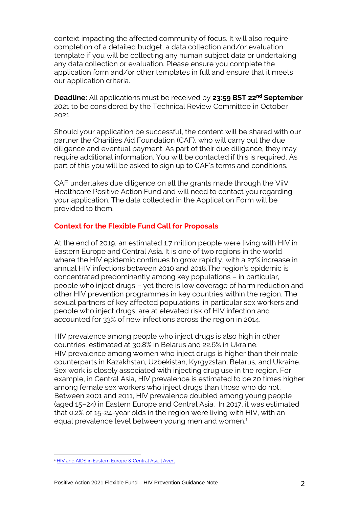context impacting the affected community of focus. It will also require completion of a detailed budget, a data collection and/or evaluation template if you will be collecting any human subject data or undertaking any data collection or evaluation. Please ensure you complete the application form and/or other templates in full and ensure that it meets our application criteria.

**Deadline:** All applications must be received by **23:59 BST 22nd September** 2021 to be considered by the Technical Review Committee in October 2021.

Should your application be successful, the content will be shared with our partner the Charities Aid Foundation (CAF), who will carry out the due diligence and eventual payment. As part of their due diligence, they may require additional information. You will be contacted if this is required. As part of this you will be asked to sign up to CAF's terms and conditions.

CAF undertakes due diligence on all the grants made through the ViiV Healthcare Positive Action Fund and will need to contact you regarding your application. The data collected in the Application Form will be provided to them.

### **Context for the Flexible Fund Call for Proposals**

At the end of 2019, an estimated 1.7 million people were living with HIV in Eastern Europe and Central Asia. It is one of two regions in the world where the HIV epidemic continues to grow rapidly, with a 27% increase in annual HIV infections between 2010 and 2018.The region's epidemic is concentrated predominantly among key populations – in particular, people who inject drugs – yet there is low coverage of harm reduction and other HIV prevention programmes in key countries within the region. The sexual partners of key affected populations, in particular sex workers and people who inject drugs, are at elevated risk of HIV infection and accounted for 33% of new infections across the region in 2014.

HIV prevalence among people who inject drugs is also high in other countries, estimated at 30.8% in Belarus and 22.6% in Ukraine. HIV prevalence among women who inject drugs is higher than their male counterparts in Kazakhstan, Uzbekistan, Kyrgyzstan, Belarus, and Ukraine. Sex work is closely associated with injecting drug use in the region. For example, in Central Asia, HIV prevalence is estimated to be 20 times higher among female sex workers who inject drugs than those who do not. Between 2001 and 2011, HIV prevalence doubled among young people (aged 15–24) in Eastern Europe and Central Asia. In 2017, it was estimated that 0.2% of 15-24-year olds in the region were living with HIV, with an equal prevalence level between young men and women.<sup>1</sup>

<sup>&</sup>lt;sup>1</sup> [HIV and AIDS in Eastern Europe & Central Asia | Avert](https://www.avert.org/professionals/hiv-around-world/eastern-europe-central-asia)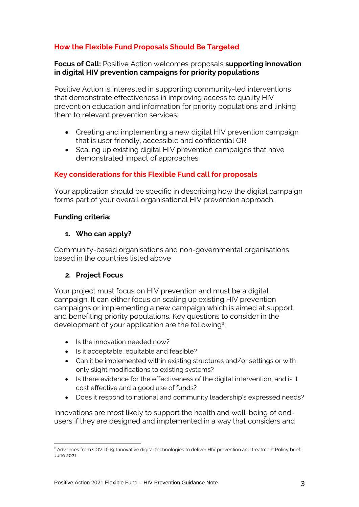# **How the Flexible Fund Proposals Should Be Targeted**

**Focus of Call:** Positive Action welcomes proposals **supporting innovation in digital HIV prevention campaigns for priority populations**

Positive Action is interested in supporting community-led interventions that demonstrate effectiveness in improving access to quality HIV prevention education and information for priority populations and linking them to relevant prevention services:

- Creating and implementing a new digital HIV prevention campaign that is user friendly, accessible and confidential OR
- Scaling up existing digital HIV prevention campaigns that have demonstrated impact of approaches

# **Key considerations for this Flexible Fund call for proposals**

Your application should be specific in describing how the digital campaign forms part of your overall organisational HIV prevention approach.

#### **Funding criteria:**

### **1. Who can apply?**

Community-based organisations and non-governmental organisations based in the countries listed above

## **2. Project Focus**

Your project must focus on HIV prevention and must be a digital campaign. It can either focus on scaling up existing HIV prevention campaigns or implementing a new campaign which is aimed at support and benefiting priority populations. Key questions to consider in the development of your application are the following<sup>2</sup>;

- Is the innovation needed now?
- Is it acceptable, equitable and feasible?
- Can it be implemented within existing structures and/or settings or with only slight modifications to existing systems?
- Is there evidence for the effectiveness of the digital intervention, and is it cost effective and a good use of funds?
- Does it respond to national and community leadership's expressed needs?

Innovations are most likely to support the health and well-being of endusers if they are designed and implemented in a way that considers and

<sup>&</sup>lt;sup>2</sup> Advances from COVID-19: Innovative digital technologies to deliver HIV prevention and treatment Policy brief: June 2021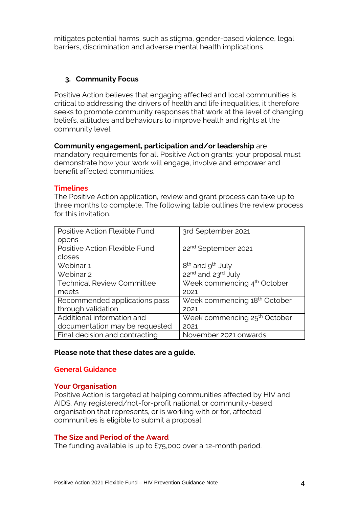mitigates potential harms, such as stigma, gender-based violence, legal barriers, discrimination and adverse mental health implications.

### **3. Community Focus**

Positive Action believes that engaging affected and local communities is critical to addressing the drivers of health and life inequalities, it therefore seeks to promote community responses that work at the level of changing beliefs, attitudes and behaviours to improve health and rights at the community level.

#### **Community engagement, participation and/or leadership** are

mandatory requirements for all Positive Action grants: your proposal must demonstrate how your work will engage, involve and empower and benefit affected communities.

#### **Timelines**

The Positive Action application, review and grant process can take up to three months to complete. The following table outlines the review process for this invitation.

| Positive Action Flexible Fund     | 3rd September 2021                         |
|-----------------------------------|--------------------------------------------|
| opens                             |                                            |
| Positive Action Flexible Fund     | 22 <sup>nd</sup> September 2021            |
| closes                            |                                            |
| Webinar 1                         | 8 <sup>th</sup> and 9 <sup>th</sup> July   |
| Webinar 2                         | 22 <sup>nd</sup> and 23 <sup>rd</sup> July |
| <b>Technical Review Committee</b> | Week commencing 4 <sup>th</sup> October    |
| meets                             | 2021                                       |
| Recommended applications pass     | Week commencing 18 <sup>th</sup> October   |
| through validation                | 2021                                       |
| Additional information and        | Week commencing 25 <sup>th</sup> October   |
| documentation may be requested    | 2021                                       |
| Final decision and contracting    | November 2021 onwards                      |

#### **Please note that these dates are a guide.**

#### **General Guidance**

#### **Your Organisation**

Positive Action is targeted at helping communities affected by HIV and AIDS. Any registered/not-for-profit national or community-based organisation that represents, or is working with or for, affected communities is eligible to submit a proposal.

#### **The Size and Period of the Award**

The funding available is up to £75,000 over a 12-month period.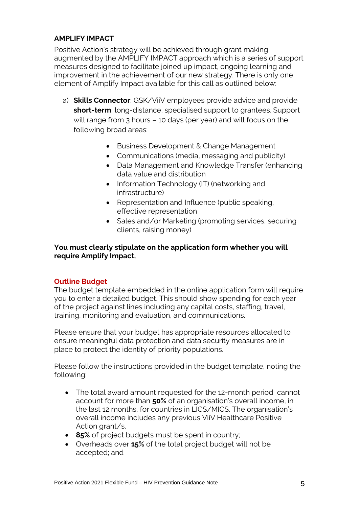## **AMPLIFY IMPACT**

Positive Action's strategy will be achieved through grant making augmented by the AMPLIFY IMPACT approach which is a series of support measures designed to facilitate joined up impact, ongoing learning and improvement in the achievement of our new strategy. There is only one element of Amplify Impact available for this call as outlined below:

- a) **Skills Connector**: GSK/ViiV employees provide advice and provide **short-term**, long-distance, specialised support to grantees. Support will range from 3 hours – 10 days (per year) and will focus on the following broad areas:
	- Business Development & Change Management
	- Communications (media, messaging and publicity)
	- Data Management and Knowledge Transfer (enhancing data value and distribution
	- Information Technology (IT) (networking and infrastructure)
	- Representation and Influence (public speaking, effective representation
	- Sales and/or Marketing (promoting services, securing clients, raising money)

## **You must clearly stipulate on the application form whether you will require Amplify Impact,**

## **Outline Budget**

The budget template embedded in the online application form will require you to enter a detailed budget. This should show spending for each year of the project against lines including any capital costs, staffing, travel, training, monitoring and evaluation, and communications.

Please ensure that your budget has appropriate resources allocated to ensure meaningful data protection and data security measures are in place to protect the identity of priority populations.

Please follow the instructions provided in the budget template, noting the following:

- The total award amount requested for the 12-month period cannot account for more than **50%** of an organisation's overall income, in the last 12 months, for countries in LICS/MICS. The organisation's overall income includes any previous ViiV Healthcare Positive Action grant/s.
- **85%** of project budgets must be spent in country;
- Overheads over **15%** of the total project budget will not be accepted; and